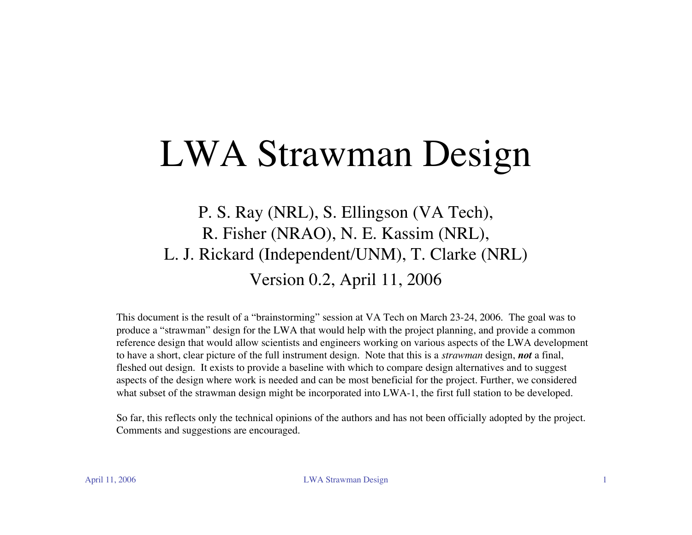#### LWA Strawman Design

P. S. Ray (NRL), S. Ellingson (VA Tech), R. Fisher (NRAO), N. E. Kassim (NRL), L. J. Rickard (Independent/UNM), T. Clarke (NRL) Version 0.2, April 11, 2006

This document is the result of a "brainstorming" session at VA Tech on March 23-24, 2006. The goal was to produce a "strawman" design for the LWA that would help with the project planning, and provide a common reference design that would allow scientists and engineers working on various aspects of the LWA development to have a short, clear picture of the full instrument design. Note that this is a *strawman* design, *not* a final, fleshed out design. It exists to provide a baseline with which to compare design alternatives and to suggest aspects of the design where work is needed and can be most beneficial for the project. Further, we considered what subset of the strawman design might be incorporated into LWA-1, the first full station to be developed.

So far, this reflects only the technical opinions of the authors and has not been officially adopted by the project. Comments and suggestions are encouraged.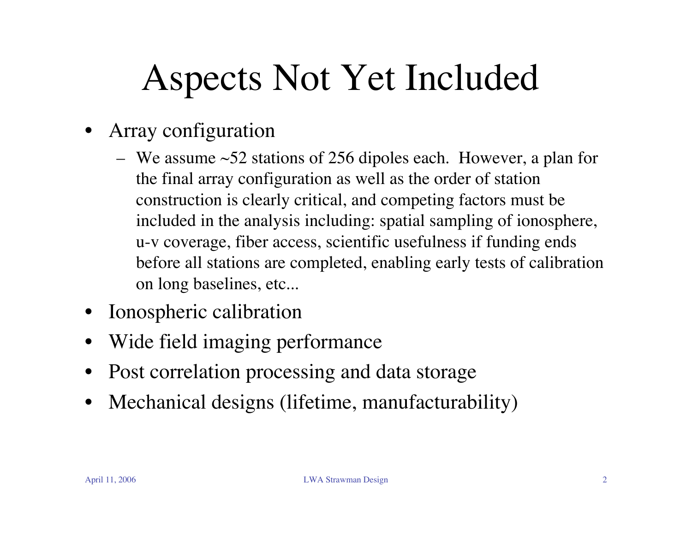# Aspects Not Yet Included

- Array configuration
	- We assume  $\sim$  52 stations of 256 dipoles each. However, a plan for the final array configuration as well as the order of station construction is clearly critical, and competing factors must be included in the analysis including: spatial sampling of ionosphere, u-v coverage, fiber access, scientific usefulness if funding ends before all stations are completed, enabling early tests of calibration on long baselines, etc...
- Ionospheric calibration
- Wide field imaging performance
- Post correlation processing and data storage
- Mechanical designs (lifetime, manufacturability)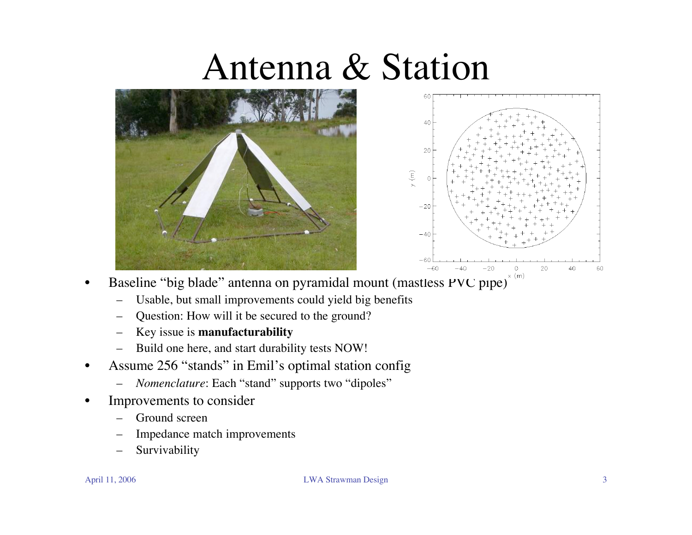#### Antenna & Station





- Baseline "big blade" antenna on pyramidal mount (mastless PVC pipe)<sup> $x(m)$ </sup>
	- Usable, but small improvements could yield big benefits
	- Question: How will it be secured to the ground?
	- Key issue is **manufacturability**
	- Build one here, and start durability tests NOW!
- Assume 256 "stands" in Emil's optimal station config
	- *Nomenclature*: Each "stand" supports two "dipoles"
- Improvements to consider
	- Ground screen
	- Impedance match improvements
	- **Survivability**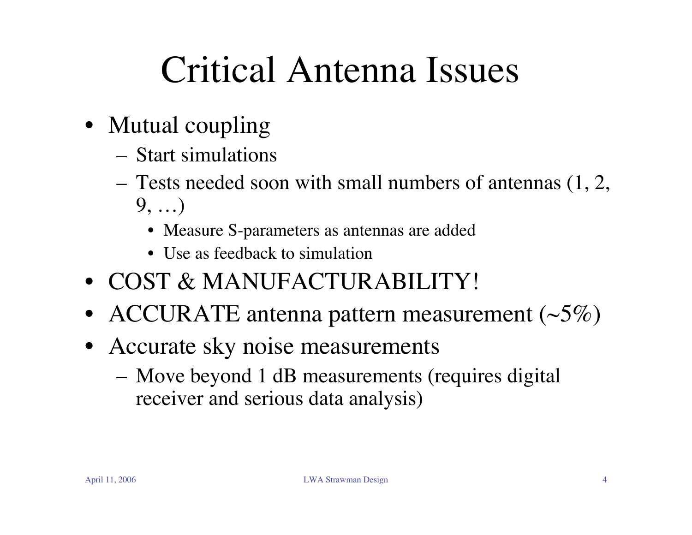# Critical Antenna Issues

- Mutual coupling
	- Start simulations
	- Tests needed soon with small numbers of antennas (1, 2, 9, …)
		- Measure S-parameters as antennas are added
		- Use as feedback to simulation
- COST & MANUFACTURABILITY!
- ACCURATE antenna pattern measurement  $(\sim 5\%)$
- Accurate sky noise measurements
	- Move beyond 1 dB measurements (requires digital receiver and serious data analysis)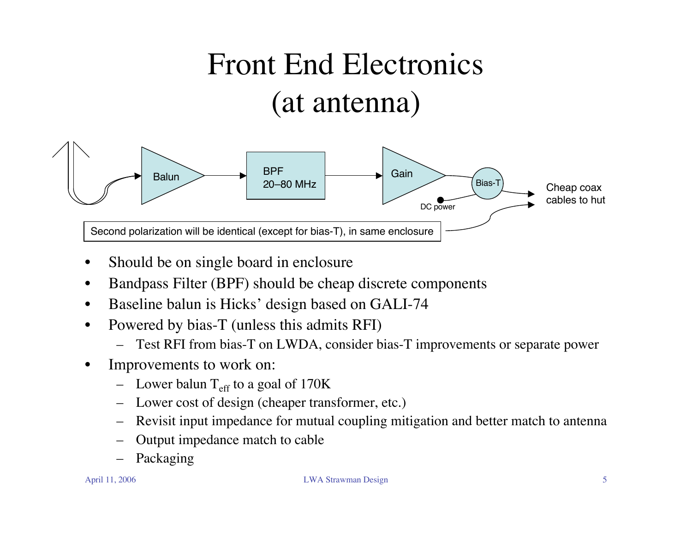#### Front End Electronics (at antenna)



- Should be on single board in enclosure
- Bandpass Filter (BPF) should be cheap discrete components
- Baseline balun is Hicks' design based on GALI-74
- Powered by bias-T (unless this admits RFI)
	- Test RFI from bias-T on LWDA, consider bias-T improvements or separate power
- Improvements to work on:
	- Lower balun  $T_{\text{eff}}$  to a goal of 170K
	- Lower cost of design (cheaper transformer, etc.)
	- Revisit input impedance for mutual coupling mitigation and better match to antenna
	- Output impedance match to cable
	- Packaging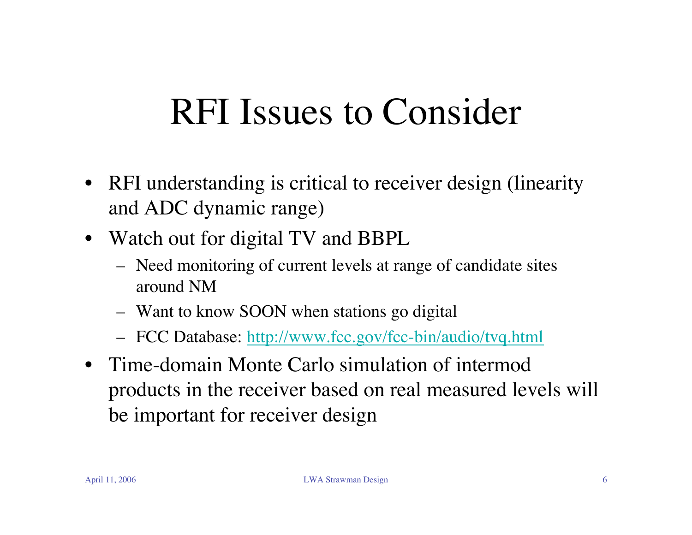#### RFI Issues to Consider

- RFI understanding is critical to receiver design (linearity and ADC dynamic range)
- Watch out for digital TV and BBPL
	- Need monitoring of current levels at range of candidate sites around NM
	- Want to know SOON when stations go digital
	- FCC Database: http://www.fcc.gov/fcc-bin/audio/tvq.html
- Time-domain Monte Carlo simulation of intermod products in the receiver based on real measured levels will be important for receiver design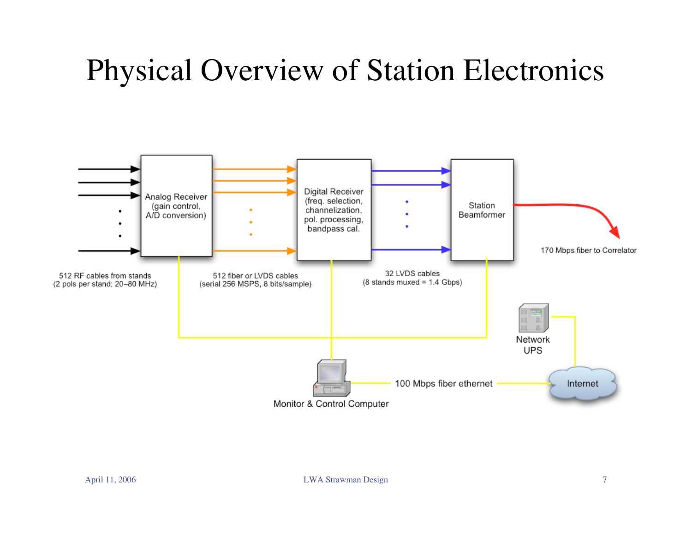#### Physical Overview of Station Electronics

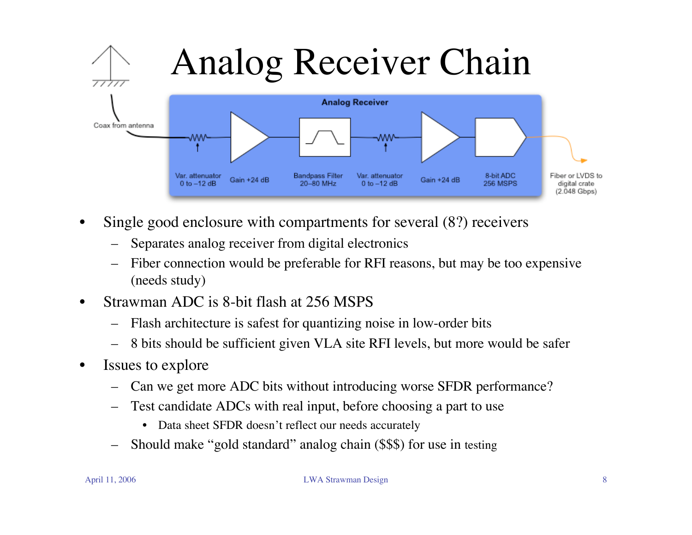

- Single good enclosure with compartments for several  $(8?)$  receivers
	- Separates analog receiver from digital electronics
	- Fiber connection would be preferable for RFI reasons, but may be too expensive (needs study)
- Strawman ADC is 8-bit flash at 256 MSPS
	- Flash architecture is safest for quantizing noise in low-order bits
	- 8 bits should be sufficient given VLA site RFI levels, but more would be safer
- Issues to explore
	- Can we get more ADC bits without introducing worse SFDR performance?
	- Test candidate ADCs with real input, before choosing a part to use
		- Data sheet SFDR doesn't reflect our needs accurately
	- Should make "gold standard" analog chain (\$\$\$) for use in testing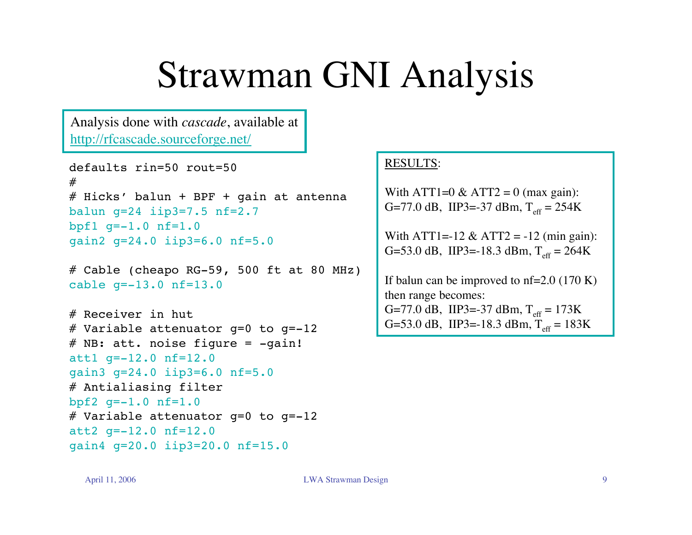#### Strawman GNI Analysis

Analysis done with *cascade*, available at http://rfcascade.sourceforge.net/

```
defaults rin=50 rout=50
#
# Hicks' balun + BPF + gain at antenna
balun g=24 iip3=7.5 nf=2.7
bpf1 q=-1.0 nf=1.0gain2 g=24.0 iip3=6.0 nf=5.0
```

```
# Cable (cheapo RG-59, 500 ft at 80 MHz)
cable g=-13.0 nf=13.0
```

```
# Receiver in hut
# Variable attenuator g=0 to g=-12
# NB: att. noise figure = -qain!att1 g=-12.0 nf=12.0
gain3 g=24.0 iip3=6.0 nf=5.0
# Antialiasing filter
bpf2 q=-1.0 nf=1.0
# Variable attenuator q=0 to q=-12att2 g=-12.0 nf=12.0
gain4 g=20.0 iip3=20.0 nf=15.0
```
#### RESULTS:

With ATT1=0  $&$  ATT2 = 0 (max gain): G=77.0 dB, IIP3=-37 dBm,  $T_{\text{eff}} = 254$ K

With ATT1=-12 & ATT2 = -12 (min gain): G=53.0 dB, IIP3=-18.3 dBm,  $T_{\text{eff}} = 264K$ 

If balun can be improved to  $nf=2.0$  (170 K) then range becomes: G=77.0 dB, IIP3=-37 dBm,  $T_{\text{eff}} = 173K$ G=53.0 dB, IIP3=-18.3 dBm,  $T_{\text{eff}} = 183K$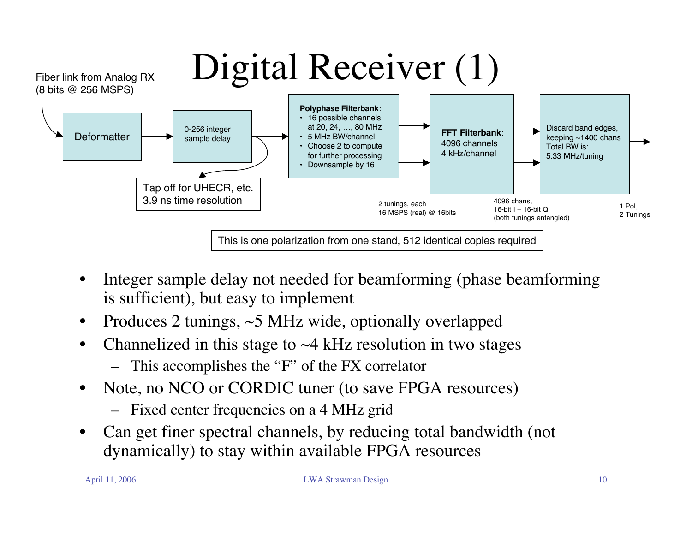

- Integer sample delay not needed for beamforming (phase beamforming is sufficient), but easy to implement
- Produces 2 tunings,  $\sim$  5 MHz wide, optionally overlapped
- Channelized in this stage to  $\sim$  4 kHz resolution in two stages
	- This accomplishes the "F" of the FX correlator
- Note, no NCO or CORDIC tuner (to save FPGA resources)
	- Fixed center frequencies on a 4 MHz grid
- Can get finer spectral channels, by reducing total bandwidth (not dynamically) to stay within available FPGA resources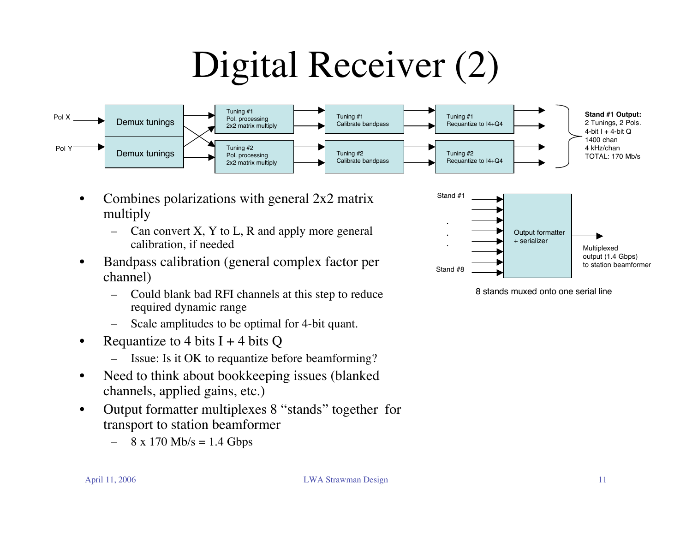# Digital Receiver (2)



- Combines polarizations with general 2x2 matrix multiply
	- Can convert  $X$ ,  $Y$  to  $L$ ,  $R$  and apply more general calibration, if needed
- Bandpass calibration (general complex factor per channel)
	- Could blank bad RFI channels at this step to reduce required dynamic range
	- Scale amplitudes to be optimal for 4-bit quant.
- Requantize to 4 bits  $I + 4$  bits Q
	- Issue: Is it OK to requantize before beamforming?
- Need to think about bookkeeping issues (blanked channels, applied gains, etc.)
- Output formatter multiplexes 8 "stands" together for transport to station beamformer
	- $8 \times 170$  Mb/s = 1.4 Gbps



8 stands muxed onto one serial line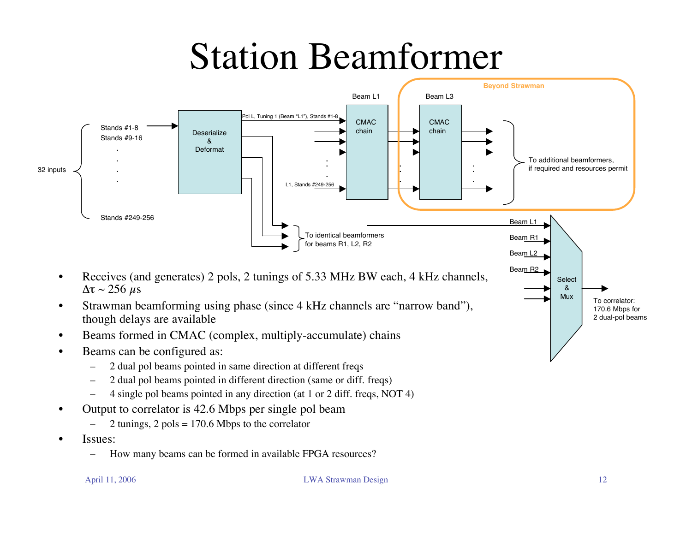#### Station Beamformer



- Beams formed in CMAC (complex, multiply-accumulate) chains
- Beams can be configured as:
	- 2 dual pol beams pointed in same direction at different freqs
	- 2 dual pol beams pointed in different direction (same or diff. freqs)
	- 4 single pol beams pointed in any direction (at 1 or 2 diff. freqs, NOT 4)
- Output to correlator is 42.6 Mbps per single pol beam
	- $-$  2 tunings, 2 pols = 170.6 Mbps to the correlator
- Issues:
	- How many beams can be formed in available FPGA resources?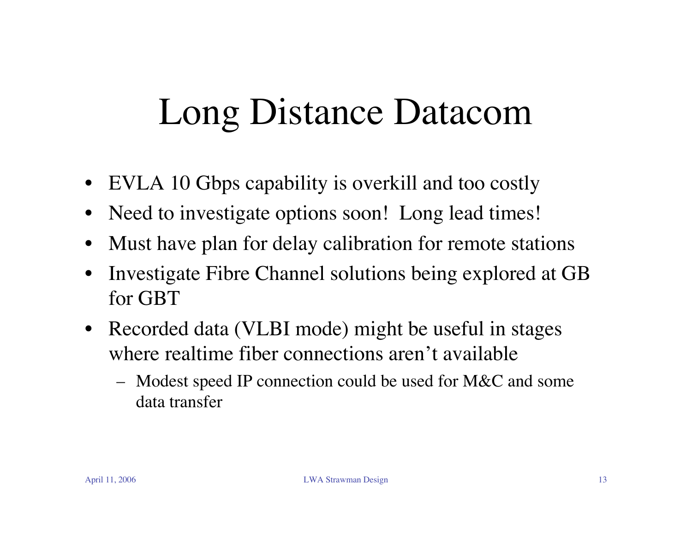# Long Distance Datacom

- EVLA 10 Gbps capability is overkill and too costly
- Need to investigate options soon! Long lead times!
- Must have plan for delay calibration for remote stations
- Investigate Fibre Channel solutions being explored at GB for GBT
- Recorded data (VLBI mode) might be useful in stages where realtime fiber connections aren't available
	- Modest speed IP connection could be used for M&C and some data transfer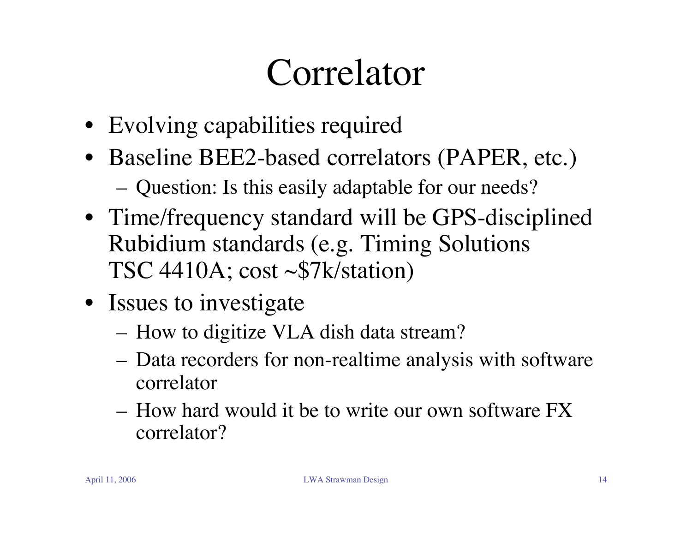# Correlator

- Evolving capabilities required
- Baseline BEE2-based correlators (PAPER, etc.)
	- Question: Is this easily adaptable for our needs?
- Time/frequency standard will be GPS-disciplined Rubidium standards (e.g. Timing Solutions TSC 4410A; cost ~\$7k/station)
- Issues to investigate
	- How to digitize VLA dish data stream?
	- Data recorders for non-realtime analysis with software correlator
	- How hard would it be to write our own software FX correlator?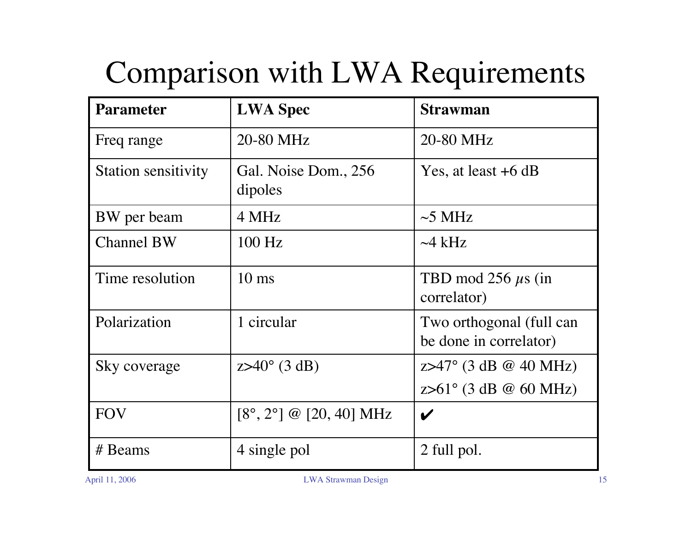#### Comparison with LWA Requirements

| <b>Parameter</b>    | <b>LWA Spec</b>                                    | <b>Strawman</b>                                                      |
|---------------------|----------------------------------------------------|----------------------------------------------------------------------|
| Freq range          | 20-80 MHz                                          | 20-80 MHz                                                            |
| Station sensitivity | Gal. Noise Dom., 256<br>dipoles                    | Yes, at least $+6$ dB                                                |
| BW per beam         | 4 MHz                                              | $\sim$ 5 MHz                                                         |
| <b>Channel BW</b>   | $100$ Hz                                           | $\sim$ 4 kHz                                                         |
| Time resolution     | $10 \text{ ms}$                                    | TBD mod 256 $\mu$ s (in<br>correlator)                               |
| Polarization        | 1 circular                                         | Two orthogonal (full can<br>be done in correlator)                   |
| Sky coverage        | $Z > 40^{\circ}$ (3 dB)                            | $z > 47^{\circ}$ (3 dB @ 40 MHz)<br>$z > 61^{\circ}$ (3 dB @ 60 MHz) |
| <b>FOV</b>          | $[8^{\circ}, 2^{\circ}] \ @ [20, 40] \ \text{MHz}$ | V                                                                    |
| # Beams             | 4 single pol                                       | 2 full pol.                                                          |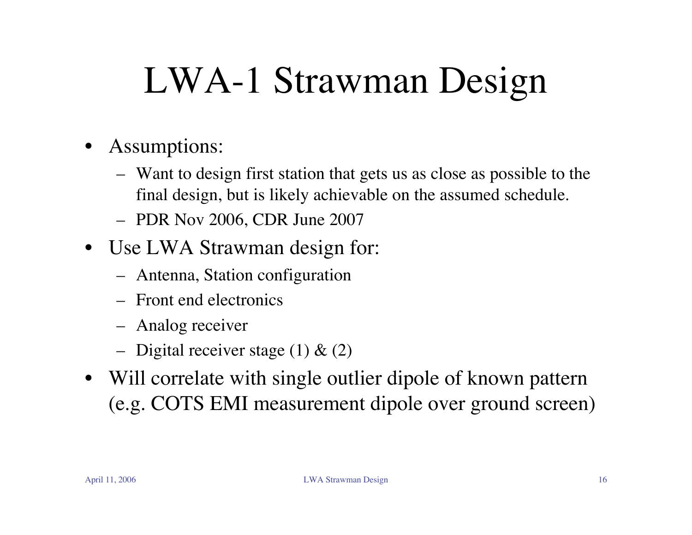# LWA-1 Strawman Design

- Assumptions:
	- Want to design first station that gets us as close as possible to the final design, but is likely achievable on the assumed schedule.
	- PDR Nov 2006, CDR June 2007
- Use LWA Strawman design for:
	- Antenna, Station configuration
	- Front end electronics
	- Analog receiver
	- Digital receiver stage  $(1)$  &  $(2)$
- Will correlate with single outlier dipole of known pattern (e.g. COTS EMI measurement dipole over ground screen)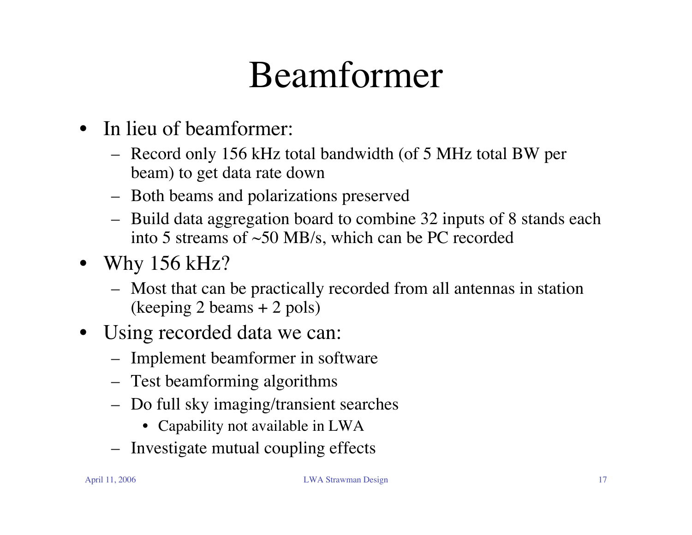#### Beamformer

- In lieu of beamformer:
	- Record only 156 kHz total bandwidth (of 5 MHz total BW per beam) to get data rate down
	- Both beams and polarizations preserved
	- Build data aggregation board to combine 32 inputs of 8 stands each into 5 streams of ~50 MB/s, which can be PC recorded
- Why 156 kHz?
	- Most that can be practically recorded from all antennas in station (keeping 2 beams + 2 pols)
- Using recorded data we can:
	- Implement beamformer in software
	- Test beamforming algorithms
	- Do full sky imaging/transient searches
		- Capability not available in LWA
	- Investigate mutual coupling effects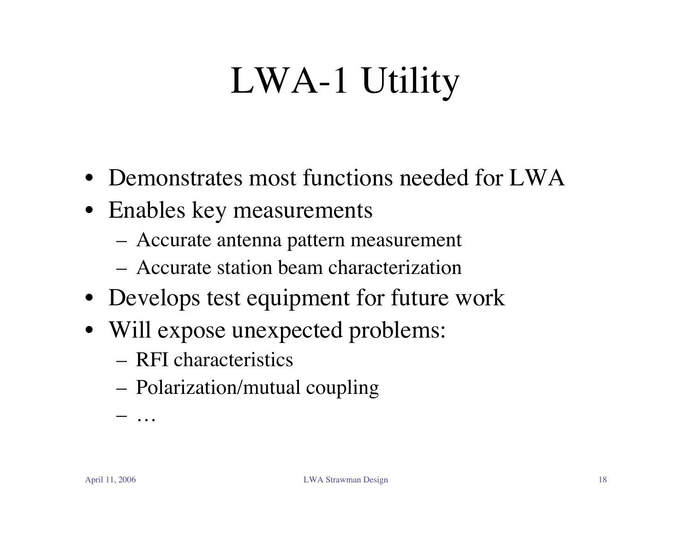# LWA-1 Utility

- Demonstrates most functions needed for LWA
- Enables key measurements
	- Accurate antenna pattern measurement
	- Accurate station beam characterization
- Develops test equipment for future work
- Will expose unexpected problems:
	- RFI characteristics
	- Polarization/mutual coupling

– …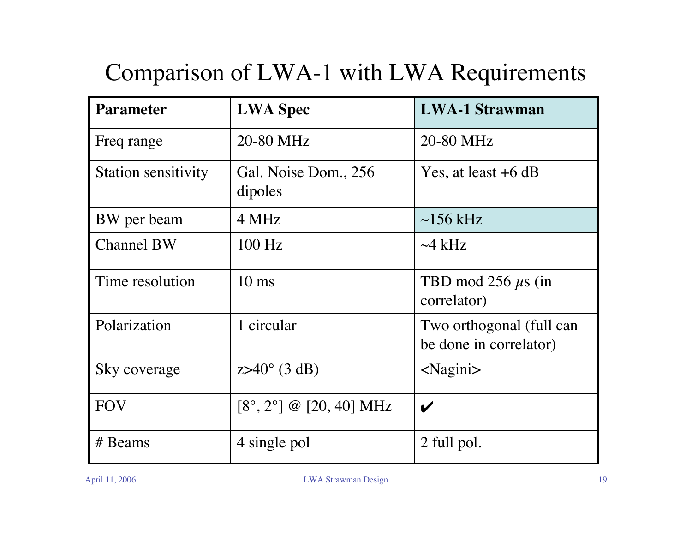#### Comparison of LWA-1 with LWA Requirements

| <b>Parameter</b>           | <b>LWA Spec</b>                                    | <b>LWA-1 Strawman</b>                              |
|----------------------------|----------------------------------------------------|----------------------------------------------------|
| Freq range                 | 20-80 MHz                                          | 20-80 MHz                                          |
| <b>Station sensitivity</b> | Gal. Noise Dom., 256<br>dipoles                    | Yes, at least $+6$ dB                              |
| BW per beam                | 4 MHz                                              | $\sim$ 156 kHz                                     |
| <b>Channel BW</b>          | 100 Hz                                             | $\sim$ 4 kHz                                       |
| Time resolution            | $10 \text{ ms}$                                    | TBD mod 256 $\mu$ s (in<br>correlator)             |
| Polarization               | 1 circular                                         | Two orthogonal (full can<br>be done in correlator) |
| Sky coverage               | $Z > 40^{\circ}$ (3 dB)                            | $\langle$ Nagini $\rangle$                         |
| <b>FOV</b>                 | $[8^{\circ}, 2^{\circ}] \ @ [20, 40] \ \text{MHz}$ | $\boldsymbol{\mathscr{C}}$                         |
| # Beams                    | 4 single pol                                       | 2 full pol.                                        |